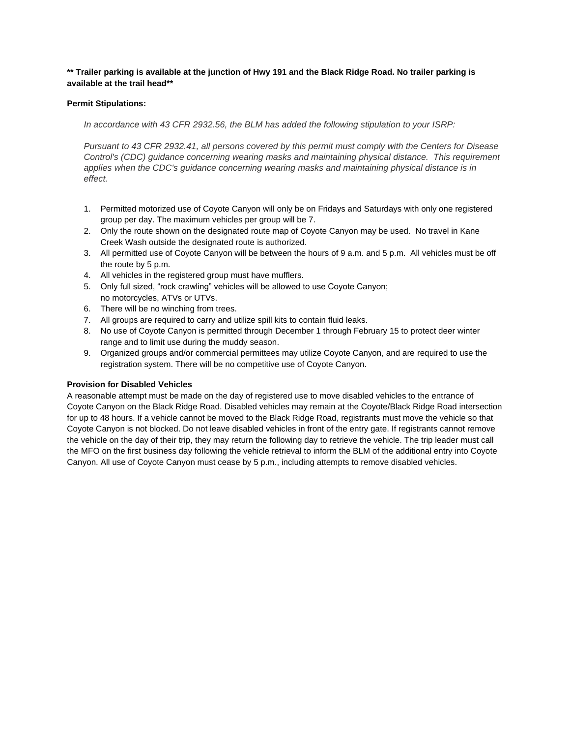## **\*\* Trailer parking is available at the junction of Hwy 191 and the Black Ridge Road. No trailer parking is available at the trail head\*\***

## **Permit Stipulations:**

*In accordance with 43 CFR 2932.56, the BLM has added the following stipulation to your ISRP:*

Pursuant to 43 CFR 2932.41, all persons covered by this permit must comply with the Centers for Disease *Control's (CDC) guidance concerning wearing masks and maintaining physical distance. This requirement applies when the CDC's guidance concerning wearing masks and maintaining physical distance is in effect.*

- 1. Permitted motorized use of Coyote Canyon will only be on Fridays and Saturdays with only one registered group per day. The maximum vehicles per group will be 7.
- 2. Only the route shown on the designated route map of Coyote Canyon may be used. No travel in Kane Creek Wash outside the designated route is authorized.
- 3. All permitted use of Coyote Canyon will be between the hours of 9 a.m. and 5 p.m. All vehicles must be off the route by 5 p.m.
- 4. All vehicles in the registered group must have mufflers.
- 5. Only full sized, "rock crawling" vehicles will be allowed to use Coyote Canyon; no motorcycles, ATVs or UTVs.
- 6. There will be no winching from trees.
- 7. All groups are required to carry and utilize spill kits to contain fluid leaks.
- 8. No use of Coyote Canyon is permitted through December 1 through February 15 to protect deer winter range and to limit use during the muddy season.
- 9. Organized groups and/or commercial permittees may utilize Coyote Canyon, and are required to use the registration system. There will be no competitive use of Coyote Canyon.

## **Provision for Disabled Vehicles**

A reasonable attempt must be made on the day of registered use to move disabled vehicles to the entrance of Coyote Canyon on the Black Ridge Road. Disabled vehicles may remain at the Coyote/Black Ridge Road intersection for up to 48 hours. If a vehicle cannot be moved to the Black Ridge Road, registrants must move the vehicle so that Coyote Canyon is not blocked. Do not leave disabled vehicles in front of the entry gate. If registrants cannot remove the vehicle on the day of their trip, they may return the following day to retrieve the vehicle. The trip leader must call the MFO on the first business day following the vehicle retrieval to inform the BLM of the additional entry into Coyote Canyon. All use of Coyote Canyon must cease by 5 p.m., including attempts to remove disabled vehicles.